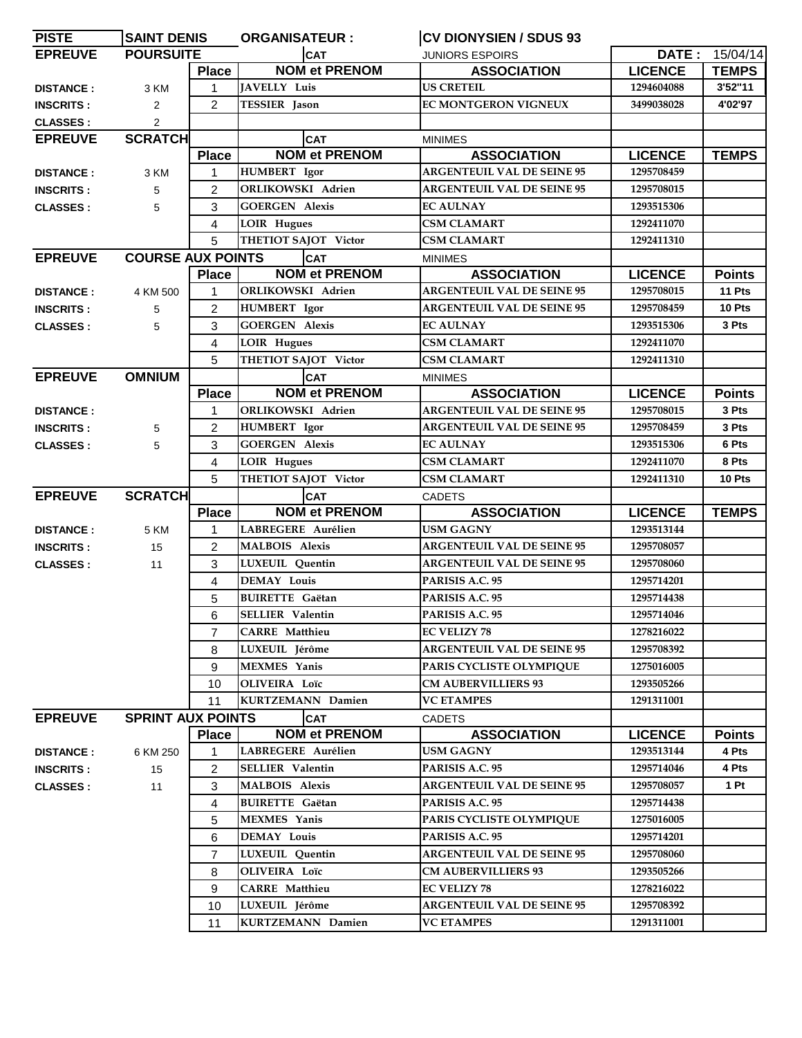| <b>PISTE</b>     | <b>SAINT DENIS</b>       |                | <b>ORGANISATEUR:</b>     | <b>CV DIONYSIEN / SDUS 93</b>     |                |                  |
|------------------|--------------------------|----------------|--------------------------|-----------------------------------|----------------|------------------|
| <b>EPREUVE</b>   | <b>POURSUITE</b>         |                | <b>CAT</b>               | <b>JUNIORS ESPOIRS</b>            |                | DATE: $15/04/14$ |
|                  |                          | <b>Place</b>   | <b>NOM et PRENOM</b>     | <b>ASSOCIATION</b>                | <b>LICENCE</b> | <b>TEMPS</b>     |
| <b>DISTANCE:</b> | 3 KM                     | $\mathbf{1}$   | <b>JAVELLY Luis</b>      | <b>US CRETEIL</b>                 | 1294604088     | 3'52"11          |
| <b>INSCRITS:</b> | 2                        | $\overline{2}$ | TESSIER Jason            | <b>EC MONTGERON VIGNEUX</b>       | 3499038028     | 4'02'97          |
| <b>CLASSES:</b>  | $\overline{2}$           |                |                          |                                   |                |                  |
| <b>EPREUVE</b>   | <b>SCRATCH</b>           |                | <b>CAT</b>               | <b>MINIMES</b>                    |                |                  |
|                  |                          | <b>Place</b>   | <b>NOM et PRENOM</b>     | <b>ASSOCIATION</b>                | <b>LICENCE</b> | <b>TEMPS</b>     |
| <b>DISTANCE:</b> | 3 KM                     | 1              | HUMBERT Igor             | <b>ARGENTEUIL VAL DE SEINE 95</b> | 1295708459     |                  |
| <b>INSCRITS:</b> | 5                        | $\overline{2}$ | <b>ORLIKOWSKI</b> Adrien | <b>ARGENTEUIL VAL DE SEINE 95</b> | 1295708015     |                  |
| <b>CLASSES:</b>  | 5                        | 3              | <b>GOERGEN Alexis</b>    | <b>EC AULNAY</b>                  | 1293515306     |                  |
|                  |                          | 4              | <b>LOIR Hugues</b>       | <b>CSM CLAMART</b>                | 1292411070     |                  |
|                  |                          | 5              | THETIOT SAJOT Victor     | <b>CSM CLAMART</b>                | 1292411310     |                  |
| <b>EPREUVE</b>   | <b>COURSE AUX POINTS</b> |                | <b>CAT</b>               | <b>MINIMES</b>                    |                |                  |
|                  |                          | <b>Place</b>   | <b>NOM et PRENOM</b>     | <b>ASSOCIATION</b>                | <b>LICENCE</b> | <b>Points</b>    |
| <b>DISTANCE:</b> | 4 KM 500                 | $\mathbf{1}$   | <b>ORLIKOWSKI Adrien</b> | <b>ARGENTEUIL VAL DE SEINE 95</b> | 1295708015     | 11 Pts           |
| <b>INSCRITS:</b> | 5                        | $\overline{2}$ | HUMBERT Igor             | <b>ARGENTEUIL VAL DE SEINE 95</b> | 1295708459     | 10 Pts           |
| <b>CLASSES:</b>  | 5                        | 3              | <b>GOERGEN Alexis</b>    | <b>EC AULNAY</b>                  | 1293515306     | 3 Pts            |
|                  |                          | 4              | <b>LOIR Hugues</b>       | <b>CSM CLAMART</b>                | 1292411070     |                  |
|                  |                          | 5              | THETIOT SAJOT Victor     | <b>CSM CLAMART</b>                | 1292411310     |                  |
| <b>EPREUVE</b>   | <b>OMNIUM</b>            |                | <b>CAT</b>               | <b>MINIMES</b>                    |                |                  |
|                  |                          | <b>Place</b>   | <b>NOM et PRENOM</b>     | <b>ASSOCIATION</b>                | <b>LICENCE</b> | <b>Points</b>    |
| <b>DISTANCE:</b> |                          | $\mathbf{1}$   | ORLIKOWSKI Adrien        | <b>ARGENTEUIL VAL DE SEINE 95</b> | 1295708015     | 3 Pts            |
| <b>INSCRITS:</b> | 5                        | $\overline{2}$ | <b>HUMBERT</b> Igor      | <b>ARGENTEUIL VAL DE SEINE 95</b> | 1295708459     | 3 Pts            |
| <b>CLASSES:</b>  | 5                        | 3              | <b>GOERGEN Alexis</b>    | <b>EC AULNAY</b>                  | 1293515306     | 6 Pts            |
|                  |                          | $\overline{4}$ | <b>LOIR Hugues</b>       | <b>CSM CLAMART</b>                | 1292411070     | 8 Pts            |
|                  |                          | 5              | THETIOT SAJOT Victor     | <b>CSM CLAMART</b>                | 1292411310     | 10 Pts           |
| <b>EPREUVE</b>   | <b>SCRATCH</b>           |                | <b>CAT</b>               | <b>CADETS</b>                     |                |                  |
|                  |                          | <b>Place</b>   | <b>NOM et PRENOM</b>     | <b>ASSOCIATION</b>                | <b>LICENCE</b> | <b>TEMPS</b>     |
| <b>DISTANCE:</b> | 5 KM                     | 1              | LABREGERE Aurélien       | <b>USM GAGNY</b>                  | 1293513144     |                  |
| <b>INSCRITS:</b> | 15                       | $\overline{2}$ | <b>MALBOIS Alexis</b>    | <b>ARGENTEUIL VAL DE SEINE 95</b> | 1295708057     |                  |
| <b>CLASSES:</b>  | 11                       | 3              | LUXEUIL Quentin          | <b>ARGENTEUIL VAL DE SEINE 95</b> | 1295708060     |                  |
|                  |                          | 4              | <b>DEMAY Louis</b>       | PARISIS A.C. 95                   | 1295714201     |                  |
|                  |                          | 5              | <b>BUIRETTE</b> Gaëtan   | PARISIS A.C. 95                   | 1295714438     |                  |
|                  |                          | 6              | SELLIER Valentin         | PARISIS A.C. 95                   | 1295714046     |                  |
|                  |                          | 7              | <b>CARRE</b> Matthieu    | <b>EC VELIZY 78</b>               | 1278216022     |                  |
|                  |                          | 8              | LUXEUIL Jérôme           | <b>ARGENTEUIL VAL DE SEINE 95</b> | 1295708392     |                  |
|                  |                          | 9              | <b>MEXMES</b> Yanis      | PARIS CYCLISTE OLYMPIQUE          | 1275016005     |                  |
|                  |                          | 10             | <b>OLIVEIRA</b> Loïc     | <b>CM AUBERVILLIERS 93</b>        | 1293505266     |                  |
|                  |                          | 11             | <b>KURTZEMANN Damien</b> | <b>VC ETAMPES</b>                 | 1291311001     |                  |
| <b>EPREUVE</b>   | <b>SPRINT AUX POINTS</b> |                | <b>CAT</b>               | <b>CADETS</b>                     |                |                  |
|                  |                          | <b>Place</b>   | <b>NOM et PRENOM</b>     | <b>ASSOCIATION</b>                | <b>LICENCE</b> | <b>Points</b>    |
| <b>DISTANCE:</b> | 6 KM 250                 | 1              | LABREGERE Aurélien       | <b>USM GAGNY</b>                  | 1293513144     | 4 Pts            |
| <b>INSCRITS:</b> | 15                       | 2              | <b>SELLIER Valentin</b>  | PARISIS A.C. 95                   | 1295714046     | 4 Pts            |
| <b>CLASSES:</b>  | 11                       | 3              | <b>MALBOIS</b> Alexis    | <b>ARGENTEUIL VAL DE SEINE 95</b> | 1295708057     | 1 Pt             |
|                  |                          | 4              | <b>BUIRETTE Gaëtan</b>   | PARISIS A.C. 95                   | 1295714438     |                  |
|                  |                          | 5              | <b>MEXMES</b> Yanis      | PARIS CYCLISTE OLYMPIQUE          | 1275016005     |                  |
|                  |                          | 6              | <b>DEMAY Louis</b>       | PARISIS A.C. 95                   | 1295714201     |                  |
|                  |                          | $\overline{7}$ | LUXEUIL Quentin          | <b>ARGENTEUIL VAL DE SEINE 95</b> | 1295708060     |                  |
|                  |                          | 8              | <b>OLIVEIRA</b> Loïc     | <b>CM AUBERVILLIERS 93</b>        | 1293505266     |                  |
|                  |                          | 9              | <b>CARRE</b> Matthieu    | <b>EC VELIZY 78</b>               | 1278216022     |                  |
|                  |                          | 10             | LUXEUIL Jérôme           | <b>ARGENTEUIL VAL DE SEINE 95</b> | 1295708392     |                  |
|                  |                          | 11             | <b>KURTZEMANN Damien</b> | <b>VC ETAMPES</b>                 | 1291311001     |                  |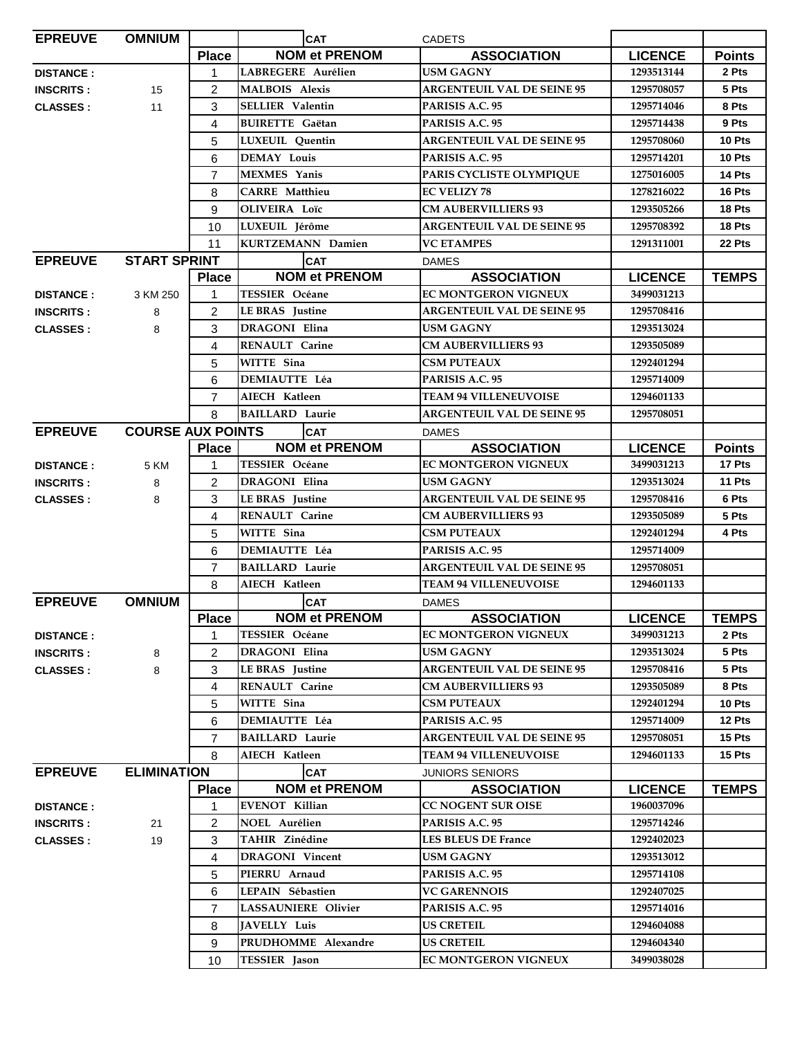| <b>EPREUVE</b>   | <b>OMNIUM</b>            |                | <b>CAT</b>              | <b>CADETS</b>                     |                |               |
|------------------|--------------------------|----------------|-------------------------|-----------------------------------|----------------|---------------|
|                  |                          | <b>Place</b>   | <b>NOM et PRENOM</b>    | <b>ASSOCIATION</b>                | <b>LICENCE</b> | <b>Points</b> |
| <b>DISTANCE:</b> |                          | $\mathbf{1}$   | LABREGERE Aurélien      | <b>USM GAGNY</b>                  | 1293513144     | 2 Pts         |
| <b>INSCRITS:</b> | 15                       | 2              | <b>MALBOIS Alexis</b>   | <b>ARGENTEUIL VAL DE SEINE 95</b> | 1295708057     | 5 Pts         |
| <b>CLASSES:</b>  | 11                       | 3              | <b>SELLIER Valentin</b> | PARISIS A.C. 95                   | 1295714046     | 8 Pts         |
|                  |                          | 4              | <b>BUIRETTE</b> Gaëtan  | PARISIS A.C. 95                   | 1295714438     | 9 Pts         |
|                  |                          | 5              | <b>LUXEUIL</b> Quentin  | <b>ARGENTEUIL VAL DE SEINE 95</b> | 1295708060     | 10 Pts        |
|                  |                          | 6              | <b>DEMAY Louis</b>      | PARISIS A.C. 95                   | 1295714201     | 10 Pts        |
|                  |                          | $\overline{7}$ | <b>MEXMES</b> Yanis     | PARIS CYCLISTE OLYMPIQUE          | 1275016005     | 14 Pts        |
|                  |                          | 8              | <b>CARRE</b> Matthieu   | <b>EC VELIZY 78</b>               | 1278216022     | 16 Pts        |
|                  |                          | 9              | OLIVEIRA Loïc           | <b>CM AUBERVILLIERS 93</b>        | 1293505266     | 18 Pts        |
|                  |                          | 10             | LUXEUIL Jérôme          | <b>ARGENTEUIL VAL DE SEINE 95</b> | 1295708392     | 18 Pts        |
|                  |                          | 11             | KURTZEMANN Damien       | <b>VC ETAMPES</b>                 | 1291311001     | 22 Pts        |
| <b>EPREUVE</b>   | <b>START SPRINT</b>      |                | <b>CAT</b>              | <b>DAMES</b>                      |                |               |
|                  |                          | <b>Place</b>   | <b>NOM et PRENOM</b>    | <b>ASSOCIATION</b>                | <b>LICENCE</b> | <b>TEMPS</b>  |
| <b>DISTANCE:</b> | 3 KM 250                 | 1              | <b>TESSIER Océane</b>   | EC MONTGERON VIGNEUX              | 3499031213     |               |
| <b>INSCRITS:</b> | 8                        | 2              | LE BRAS Justine         | <b>ARGENTEUIL VAL DE SEINE 95</b> | 1295708416     |               |
| <b>CLASSES:</b>  | 8                        | 3              | <b>DRAGONI Elina</b>    | <b>USM GAGNY</b>                  | 1293513024     |               |
|                  |                          | 4              | <b>RENAULT Carine</b>   | <b>CM AUBERVILLIERS 93</b>        | 1293505089     |               |
|                  |                          | 5              | WITTE Sina              | <b>CSM PUTEAUX</b>                | 1292401294     |               |
|                  |                          | 6              | <b>DEMIAUTTE Léa</b>    | PARISIS A.C. 95                   | 1295714009     |               |
|                  |                          | $\overline{7}$ | AIECH Katleen           | <b>TEAM 94 VILLENEUVOISE</b>      | 1294601133     |               |
|                  |                          | 8              | <b>BAILLARD</b> Laurie  | <b>ARGENTEUIL VAL DE SEINE 95</b> | 1295708051     |               |
| <b>EPREUVE</b>   | <b>COURSE AUX POINTS</b> |                | <b>CAT</b>              | <b>DAMES</b>                      |                |               |
|                  |                          | <b>Place</b>   | <b>NOM et PRENOM</b>    | <b>ASSOCIATION</b>                | <b>LICENCE</b> | <b>Points</b> |
| <b>DISTANCE:</b> | 5 KM                     | $\mathbf{1}$   | <b>TESSIER Océane</b>   | <b>EC MONTGERON VIGNEUX</b>       | 3499031213     | 17 Pts        |
| <b>INSCRITS:</b> | 8                        | $\overline{2}$ | <b>DRAGONI Elina</b>    | <b>USM GAGNY</b>                  | 1293513024     | 11 Pts        |
| <b>CLASSES:</b>  | 8                        | 3              | <b>LE BRAS</b> Justine  | <b>ARGENTEUIL VAL DE SEINE 95</b> | 1295708416     | 6 Pts         |
|                  |                          | 4              | <b>RENAULT</b> Carine   | <b>CM AUBERVILLIERS 93</b>        | 1293505089     | 5 Pts         |
|                  |                          | 5              | WITTE Sina              | <b>CSM PUTEAUX</b>                | 1292401294     | 4 Pts         |
|                  |                          | 6              | <b>DEMIAUTTE Léa</b>    | PARISIS A.C. 95                   | 1295714009     |               |
|                  |                          | $\overline{7}$ | <b>BAILLARD Laurie</b>  | <b>ARGENTEUIL VAL DE SEINE 95</b> | 1295708051     |               |
|                  |                          | 8              | AIECH Katleen           | <b>TEAM 94 VILLENEUVOISE</b>      | 1294601133     |               |
| <b>EPREUVE</b>   | <b>OMNIUM</b>            |                | <b>CAT</b>              | <b>DAMES</b>                      |                |               |
|                  |                          | <b>Place</b>   | <b>NOM et PRENOM</b>    | <b>ASSOCIATION</b>                | <b>LICENCE</b> | <b>TEMPS</b>  |
| <b>DISTANCE:</b> |                          | 1              | <b>TESSIER Océane</b>   | <b>EC MONTGERON VIGNEUX</b>       | 3499031213     | 2 Pts         |
| <b>INSCRITS:</b> | 8                        | $\overline{2}$ | DRAGONI Elina           | <b>USM GAGNY</b>                  | 1293513024     | 5 Pts         |
| <b>CLASSES:</b>  | 8                        | 3              | <b>LE BRAS</b> Justine  | <b>ARGENTEUIL VAL DE SEINE 95</b> | 1295708416     | 5 Pts         |
|                  |                          | 4              | RENAULT Carine          | <b>CM AUBERVILLIERS 93</b>        | 1293505089     | 8 Pts         |
|                  |                          | 5              | WITTE Sina              | <b>CSM PUTEAUX</b>                | 1292401294     | 10 Pts        |
|                  |                          | 6              | <b>DEMIAUTTE Léa</b>    | PARISIS A.C. 95                   | 1295714009     | 12 Pts        |
|                  |                          | $\overline{7}$ | <b>BAILLARD Laurie</b>  | <b>ARGENTEUIL VAL DE SEINE 95</b> | 1295708051     | 15 Pts        |
|                  |                          | 8              | AIECH Katleen           | <b>TEAM 94 VILLENEUVOISE</b>      | 1294601133     | 15 Pts        |
| <b>EPREUVE</b>   | <b>ELIMINATION</b>       |                | <b>CAT</b>              | <b>JUNIORS SENIORS</b>            |                |               |
|                  |                          | <b>Place</b>   | <b>NOM et PRENOM</b>    | <b>ASSOCIATION</b>                | <b>LICENCE</b> | <b>TEMPS</b>  |
| <b>DISTANCE:</b> |                          | 1              | EVENOT Killian          | <b>CC NOGENT SUR OISE</b>         | 1960037096     |               |
| <b>INSCRITS:</b> | 21                       | 2              | NOEL Aurélien           | PARISIS A.C. 95                   | 1295714246     |               |
| <b>CLASSES:</b>  | 19                       | 3              | TAHIR Zinédine          | <b>LES BLEUS DE France</b>        | 1292402023     |               |
|                  |                          | 4              | <b>DRAGONI</b> Vincent  | <b>USM GAGNY</b>                  | 1293513012     |               |
|                  |                          | 5              | PIERRU Arnaud           | PARISIS A.C. 95                   | 1295714108     |               |
|                  |                          | 6              | LEPAIN Sébastien        | <b>VC GARENNOIS</b>               | 1292407025     |               |
|                  |                          | $\overline{7}$ | LASSAUNIERE Olivier     | PARISIS A.C. 95                   | 1295714016     |               |
|                  |                          | 8              | <b>JAVELLY Luis</b>     | <b>US CRETEIL</b>                 | 1294604088     |               |
|                  |                          | 9              | PRUDHOMME Alexandre     | <b>US CRETEIL</b>                 | 1294604340     |               |
|                  |                          |                | TESSIER Jason           | <b>EC MONTGERON VIGNEUX</b>       | 3499038028     |               |
|                  |                          | 10             |                         |                                   |                |               |